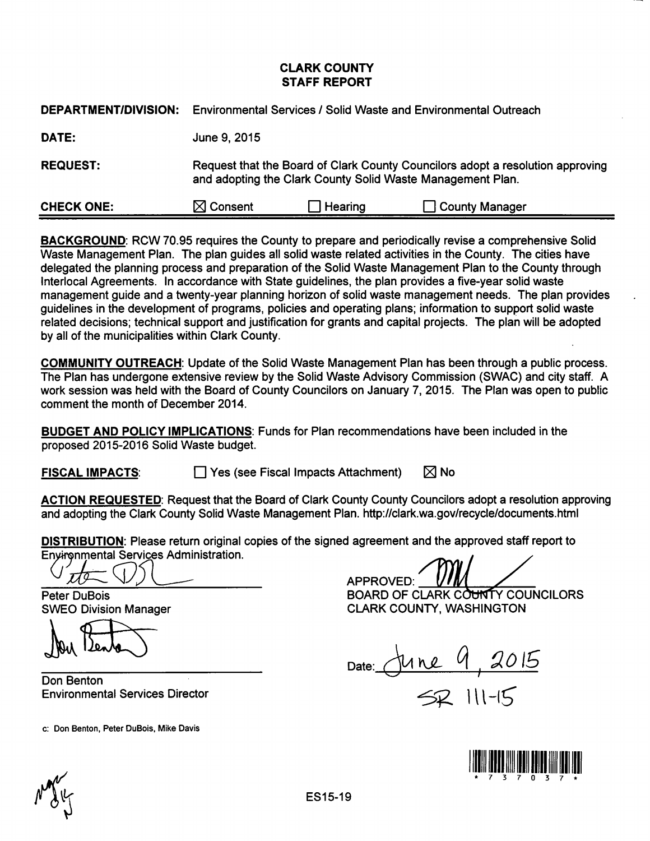## CLARK COUNTY STAFF REPORT

| <b>DEPARTMENT/DIVISION:</b> | <b>Environmental Services / Solid Waste and Environmental Outreach</b>                                                                       |         |                       |  |  |
|-----------------------------|----------------------------------------------------------------------------------------------------------------------------------------------|---------|-----------------------|--|--|
| DATE:                       | June 9, 2015                                                                                                                                 |         |                       |  |  |
| <b>REQUEST:</b>             | Request that the Board of Clark County Councilors adopt a resolution approving<br>and adopting the Clark County Solid Waste Management Plan. |         |                       |  |  |
| <b>CHECK ONE:</b>           | $\boxtimes$ Consent                                                                                                                          | Hearing | <b>County Manager</b> |  |  |

BACKGROUND: RCW 70.95 requires the County to prepare and periodically revise a comprehensive Solid Waste Management Plan. The plan guides all solid waste related activities in the County. The cities have delegated the planning process and preparation of the Solid Waste Management Plan to the County through lnterlocal Agreements. In accordance with State guidelines, the plan provides a five-year solid waste management guide and a twenty-year planning horizon of solid waste management needs. The plan provides guidelines in the development of programs, policies and operating plans; information to support solid waste related decisions; technical support and justification for grants and capital projects. The plan will be adopted by all of the municipalities within Clark County.

COMMUNITY OUTREACH: Update of the Solid Waste Management Plan has been through a public process. The Plan has undergone extensive review by the Solid Waste Advisory Commission (SWAC) and city staff. A work session was held with the Board of County Councilors on January 7, 2015. The Plan was open to public comment the month of December 2014.

BUDGET AND POLICY IMPLICATIONS: Funds for Plan recommendations have been included in the proposed 2015-2016 Solid Waste budget.

**FISCAL IMPACTS:**  $\Box$  Yes (see Fiscal Impacts Attachment)  $\Box$  No

ACTION REQUESTED: Request that the Board of Clark County County Councilors adopt a resolution approving and adopting the Clark County Solid Waste Management Plan. http://clark.wa.gov/recycle/documents.html

DISTRIBUTION: Please return original copies of the signed agreement and the approved staff report to **DISTRIBUTION:** Please return original copies of the signed agreement and the approved in Environmental Services Administration.

1 Denter

Don Benton Environmental Services Director

c: Don Benton, Peter DuBois, Mike Davis

Environmental Services Administration.<br>
C<u>J.J.J.C. COLOR.</u><br>
Peter DuBois BOARD OF CLARK COUNCILORS

SWEO Division Manager **CLARK COUNTY, WASHINGTON** 

Date: & *l\,e\_* ~ I ~ *0 /6* 

 $2$   $111 -15$ 

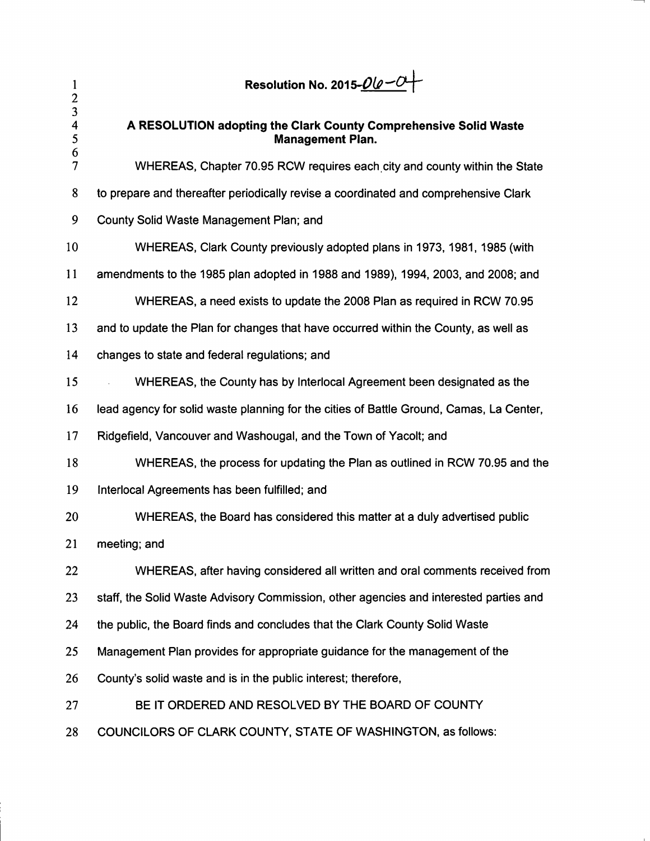| 1<br>$\overline{c}$ | Resolution No. 2015- <i>00-0</i> -                                                          |  |  |  |  |
|---------------------|---------------------------------------------------------------------------------------------|--|--|--|--|
| 3<br>4<br>5<br>6    | A RESOLUTION adopting the Clark County Comprehensive Solid Waste<br><b>Management Plan.</b> |  |  |  |  |
| 7                   | WHEREAS, Chapter 70.95 RCW requires each city and county within the State                   |  |  |  |  |
| 8                   | to prepare and thereafter periodically revise a coordinated and comprehensive Clark         |  |  |  |  |
| 9                   | County Solid Waste Management Plan; and                                                     |  |  |  |  |
| 10                  | WHEREAS, Clark County previously adopted plans in 1973, 1981, 1985 (with                    |  |  |  |  |
| 11                  | amendments to the 1985 plan adopted in 1988 and 1989), 1994, 2003, and 2008; and            |  |  |  |  |
| 12                  | WHEREAS, a need exists to update the 2008 Plan as required in RCW 70.95                     |  |  |  |  |
| 13                  | and to update the Plan for changes that have occurred within the County, as well as         |  |  |  |  |
| 14                  | changes to state and federal regulations; and                                               |  |  |  |  |
| 15                  | WHEREAS, the County has by Interlocal Agreement been designated as the                      |  |  |  |  |
| 16                  | lead agency for solid waste planning for the cities of Battle Ground, Camas, La Center,     |  |  |  |  |
| 17                  | Ridgefield, Vancouver and Washougal, and the Town of Yacolt; and                            |  |  |  |  |
| 18                  | WHEREAS, the process for updating the Plan as outlined in RCW 70.95 and the                 |  |  |  |  |
| 19                  | Interlocal Agreements has been fulfilled; and                                               |  |  |  |  |
| 20                  | WHEREAS, the Board has considered this matter at a duly advertised public                   |  |  |  |  |
| 21                  | meeting; and                                                                                |  |  |  |  |
| 22                  | WHEREAS, after having considered all written and oral comments received from                |  |  |  |  |
| 23                  | staff, the Solid Waste Advisory Commission, other agencies and interested parties and       |  |  |  |  |
| 24                  | the public, the Board finds and concludes that the Clark County Solid Waste                 |  |  |  |  |
| 25                  | Management Plan provides for appropriate guidance for the management of the                 |  |  |  |  |
| 26                  | County's solid waste and is in the public interest; therefore,                              |  |  |  |  |
| 27                  | BE IT ORDERED AND RESOLVED BY THE BOARD OF COUNTY                                           |  |  |  |  |
| 28                  | COUNCILORS OF CLARK COUNTY, STATE OF WASHINGTON, as follows:                                |  |  |  |  |